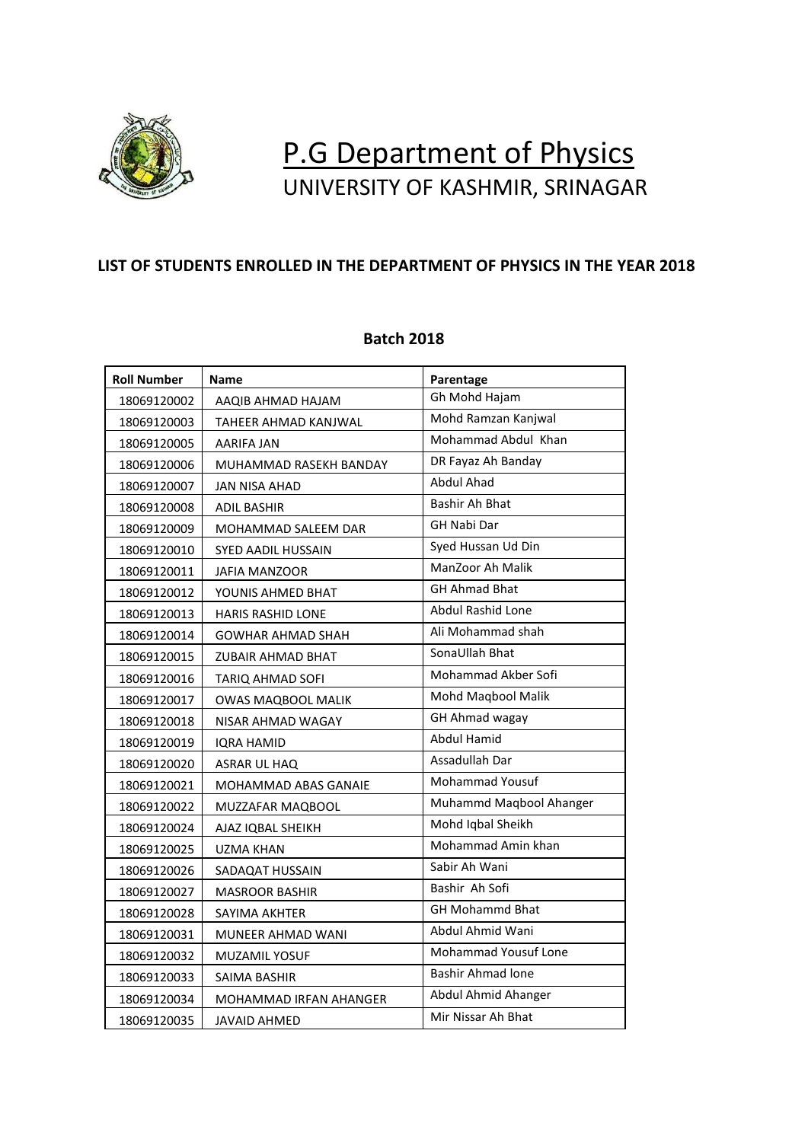

## P.G Department of Physics UNIVERSITY OF KASHMIR, SRINAGAR

## **LIST OF STUDENTS ENROLLED IN THE DEPARTMENT OF PHYSICS IN THE YEAR 2018**

| <b>Roll Number</b> | <b>Name</b>               | Parentage                |
|--------------------|---------------------------|--------------------------|
| 18069120002        | AAQIB AHMAD HAJAM         | Gh Mohd Hajam            |
| 18069120003        | TAHEER AHMAD KANJWAL      | Mohd Ramzan Kanjwal      |
| 18069120005        | AARIFA JAN                | Mohammad Abdul Khan      |
| 18069120006        | MUHAMMAD RASEKH BANDAY    | DR Fayaz Ah Banday       |
| 18069120007        | JAN NISA AHAD             | Abdul Ahad               |
| 18069120008        | <b>ADIL BASHIR</b>        | Bashir Ah Bhat           |
| 18069120009        | MOHAMMAD SALEEM DAR       | <b>GH Nabi Dar</b>       |
| 18069120010        | <b>SYED AADIL HUSSAIN</b> | Syed Hussan Ud Din       |
| 18069120011        | JAFIA MANZOOR             | ManZoor Ah Malik         |
| 18069120012        | YOUNIS AHMED BHAT         | <b>GH Ahmad Bhat</b>     |
| 18069120013        | <b>HARIS RASHID LONE</b>  | Abdul Rashid Lone        |
| 18069120014        | <b>GOWHAR AHMAD SHAH</b>  | Ali Mohammad shah        |
| 18069120015        | ZUBAIR AHMAD BHAT         | SonaUllah Bhat           |
| 18069120016        | TARIQ AHMAD SOFI          | Mohammad Akber Sofi      |
| 18069120017        | <b>OWAS MAQBOOL MALIK</b> | Mohd Maqbool Malik       |
| 18069120018        | NISAR AHMAD WAGAY         | <b>GH Ahmad wagay</b>    |
| 18069120019        | IQRA HAMID                | <b>Abdul Hamid</b>       |
| 18069120020        | ASRAR UL HAQ              | Assadullah Dar           |
| 18069120021        | MOHAMMAD ABAS GANAIE      | <b>Mohammad Yousuf</b>   |
| 18069120022        | MUZZAFAR MAQBOOL          | Muhammd Maqbool Ahanger  |
| 18069120024        | AJAZ IOBAL SHEIKH         | Mohd Iqbal Sheikh        |
| 18069120025        | UZMA KHAN                 | Mohammad Amin khan       |
| 18069120026        | SADAQAT HUSSAIN           | Sabir Ah Wani            |
| 18069120027        | <b>MASROOR BASHIR</b>     | Bashir Ah Sofi           |
| 18069120028        | SAYIMA AKHTER             | <b>GH Mohammd Bhat</b>   |
| 18069120031        | <b>MUNEER AHMAD WANI</b>  | Abdul Ahmid Wani         |
| 18069120032        | <b>MUZAMIL YOSUF</b>      | Mohammad Yousuf Lone     |
| 18069120033        | SAIMA BASHIR              | <b>Bashir Ahmad lone</b> |
| 18069120034        | MOHAMMAD IRFAN AHANGER    | Abdul Ahmid Ahanger      |
| 18069120035        | JAVAID AHMED              | Mir Nissar Ah Bhat       |

## **Batch 2018**